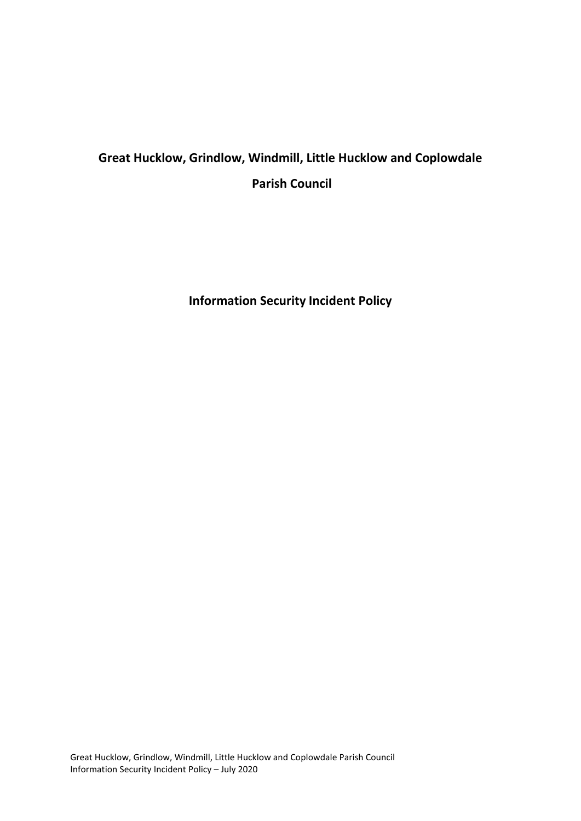# **Great Hucklow, Grindlow, Windmill, Little Hucklow and Coplowdale Parish Council**

**Information Security Incident Policy**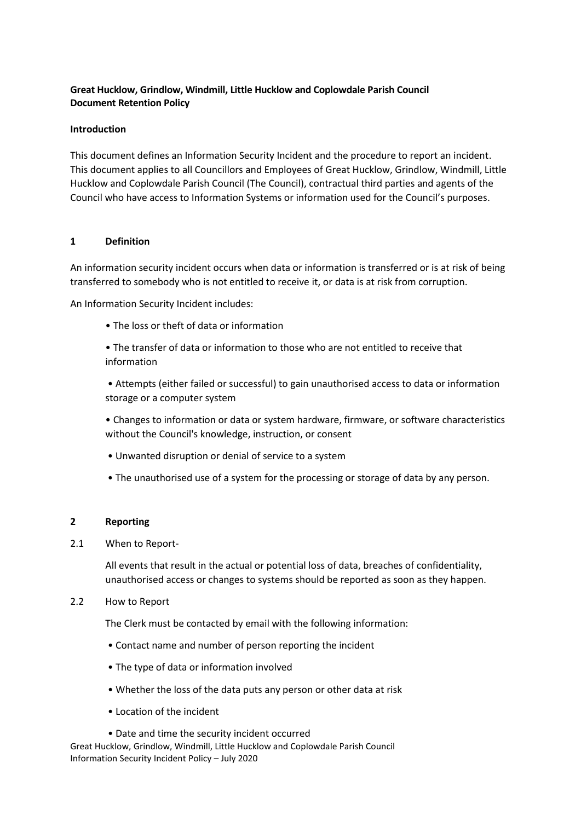# **Great Hucklow, Grindlow, Windmill, Little Hucklow and Coplowdale Parish Council Document Retention Policy**

# **Introduction**

This document defines an Information Security Incident and the procedure to report an incident. This document applies to all Councillors and Employees of Great Hucklow, Grindlow, Windmill, Little Hucklow and Coplowdale Parish Council (The Council), contractual third parties and agents of the Council who have access to Information Systems or information used for the Council's purposes.

# **1 Definition**

An information security incident occurs when data or information is transferred or is at risk of being transferred to somebody who is not entitled to receive it, or data is at risk from corruption.

An Information Security Incident includes:

• The loss or theft of data or information

• The transfer of data or information to those who are not entitled to receive that information

• Attempts (either failed or successful) to gain unauthorised access to data or information storage or a computer system

• Changes to information or data or system hardware, firmware, or software characteristics without the Council's knowledge, instruction, or consent

- Unwanted disruption or denial of service to a system
- The unauthorised use of a system for the processing or storage of data by any person.

## **2 Reporting**

## 2.1 When to Report-

All events that result in the actual or potential loss of data, breaches of confidentiality, unauthorised access or changes to systems should be reported as soon as they happen.

2.2 How to Report

The Clerk must be contacted by email with the following information:

- Contact name and number of person reporting the incident
- The type of data or information involved
- Whether the loss of the data puts any person or other data at risk
- Location of the incident
- Date and time the security incident occurred

Great Hucklow, Grindlow, Windmill, Little Hucklow and Coplowdale Parish Council Information Security Incident Policy – July 2020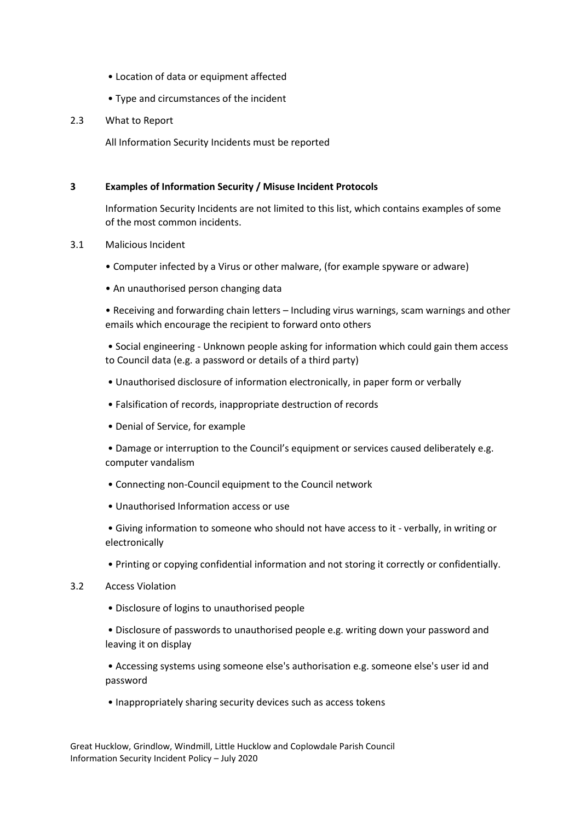- Location of data or equipment affected
- Type and circumstances of the incident

#### 2.3 What to Report

All Information Security Incidents must be reported

### **3 Examples of Information Security / Misuse Incident Protocols**

Information Security Incidents are not limited to this list, which contains examples of some of the most common incidents.

#### 3.1 Malicious Incident

- Computer infected by a Virus or other malware, (for example spyware or adware)
- An unauthorised person changing data

• Receiving and forwarding chain letters – Including virus warnings, scam warnings and other emails which encourage the recipient to forward onto others

• Social engineering - Unknown people asking for information which could gain them access to Council data (e.g. a password or details of a third party)

- Unauthorised disclosure of information electronically, in paper form or verbally
- Falsification of records, inappropriate destruction of records
- Denial of Service, for example

• Damage or interruption to the Council's equipment or services caused deliberately e.g. computer vandalism

- Connecting non-Council equipment to the Council network
- Unauthorised Information access or use

• Giving information to someone who should not have access to it - verbally, in writing or electronically

• Printing or copying confidential information and not storing it correctly or confidentially.

#### 3.2 Access Violation

• Disclosure of logins to unauthorised people

• Disclosure of passwords to unauthorised people e.g. writing down your password and leaving it on display

• Accessing systems using someone else's authorisation e.g. someone else's user id and password

• Inappropriately sharing security devices such as access tokens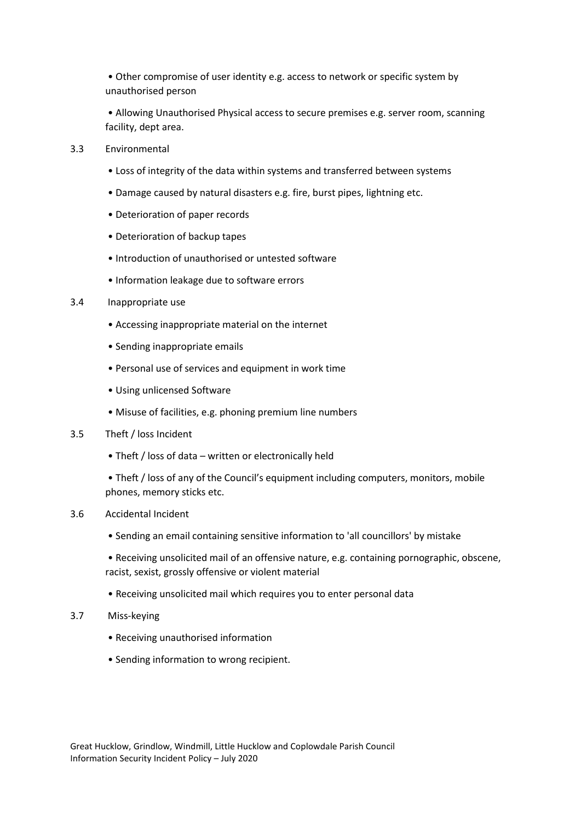• Other compromise of user identity e.g. access to network or specific system by unauthorised person

• Allowing Unauthorised Physical access to secure premises e.g. server room, scanning facility, dept area.

- 3.3 Environmental
	- Loss of integrity of the data within systems and transferred between systems
	- Damage caused by natural disasters e.g. fire, burst pipes, lightning etc.
	- Deterioration of paper records
	- Deterioration of backup tapes
	- Introduction of unauthorised or untested software
	- Information leakage due to software errors

#### 3.4 Inappropriate use

- Accessing inappropriate material on the internet
- Sending inappropriate emails
- Personal use of services and equipment in work time
- Using unlicensed Software
- Misuse of facilities, e.g. phoning premium line numbers
- 3.5 Theft / loss Incident
	- Theft / loss of data written or electronically held
	- Theft / loss of any of the Council's equipment including computers, monitors, mobile phones, memory sticks etc.

#### 3.6 Accidental Incident

- Sending an email containing sensitive information to 'all councillors' by mistake
- Receiving unsolicited mail of an offensive nature, e.g. containing pornographic, obscene, racist, sexist, grossly offensive or violent material
- Receiving unsolicited mail which requires you to enter personal data
- 3.7 Miss-keying
	- Receiving unauthorised information
	- Sending information to wrong recipient.